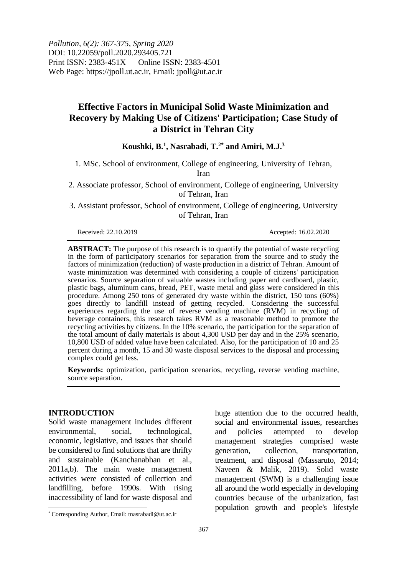*Pollution, 6(2): 367-375, Spring 2020* DOI: 10.22059/poll.2020.293405.721 Print ISSN: 2383-451X Online ISSN: 2383-4501 Web Page: https://jpoll.ut.ac.ir, Email: jpoll@ut.ac.ir

# **Effective Factors in Municipal Solid Waste Minimization and Recovery by Making Use of Citizens' Participation; Case Study of a District in Tehran City**

## **Koushki, B.<sup>1</sup> , Nasrabadi, T.2\* and Amiri, M.J.<sup>3</sup>**

1. MSc. School of environment, College of engineering, University of Tehran, Iran

2. Associate professor, School of environment, College of engineering, University of Tehran, Iran

3. Assistant professor, School of environment, College of engineering, University of Tehran, Iran

Received: 22.10.2019 Accepted: 16.02.2020

**ABSTRACT:** The purpose of this research is to quantify the potential of waste recycling in the form of participatory scenarios for separation from the source and to study the factors of minimization (reduction) of waste production in a district of Tehran. Amount of waste minimization was determined with considering a couple of citizens' participation scenarios. Source separation of valuable wastes including paper and cardboard, plastic, plastic bags, aluminum cans, bread, PET, waste metal and glass were considered in this procedure. Among 250 tons of generated dry waste within the district, 150 tons (60%) goes directly to landfill instead of getting recycled. Considering the successful experiences regarding the use of reverse vending machine (RVM) in recycling of beverage containers, this research takes RVM as a reasonable method to promote the recycling activities by citizens. In the 10% scenario, the participation for the separation of the total amount of daily materials is about 4,300 USD per day and in the 25% scenario, 10,800 USD of added value have been calculated. Also, for the participation of 10 and 25 percent during a month, 15 and 30 waste disposal services to the disposal and processing complex could get less.

**Keywords:** optimization, participation scenarios, recycling, reverse vending machine, source separation.

### **INTRODUCTION**

 $\overline{\phantom{a}}$ 

Solid waste management includes different environmental, social, technological, economic, legislative, and issues that should be considered to find solutions that are thrifty and sustainable (Kanchanabhan et al., 2011a,b). The main waste management activities were consisted of collection and landfilling, before 1990s. With rising inaccessibility of land for waste disposal and

huge attention due to the occurred health, social and environmental issues, researches and policies attempted to develop management strategies comprised waste generation, collection, transportation, treatment, and disposal (Massaruto, 2014; Naveen & Malik, 2019). Solid waste management (SWM) is a challenging issue all around the world especially in developing countries because of the urbanization, fast population growth and people's lifestyle

<sup>\*</sup> Corresponding Author, Email: tnasrabadi@ut.ac.ir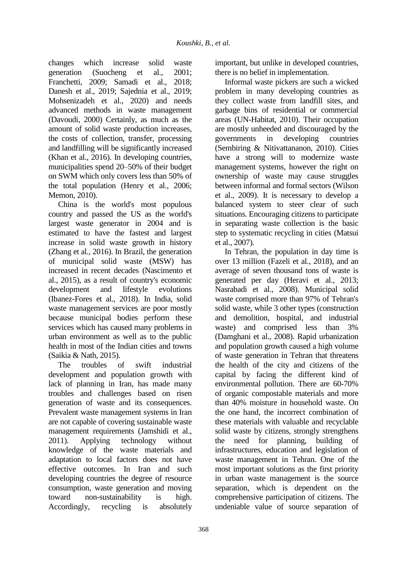changes which increase solid waste generation (Suocheng et al., 2001; Franchetti, 2009; Samadi et al., 2018; Danesh et al., 2019; Sajednia et al., 2019; Mohsenizadeh et al., 2020) and needs advanced methods in waste management (Davoudi, 2000) Certainly, as much as the amount of solid waste production increases, the costs of collection, transfer, processing and landfilling will be significantly increased (Khan et al., 2016). In developing countries, municipalities spend 20–50% of their budget on SWM which only covers less than 50% of the total population (Henry et al., 2006; Memon, 2010).

China is the world's most populous country and passed the US as the world's largest waste generator in 2004 and is estimated to have the fastest and largest increase in solid waste growth in history (Zhang et al., 2016). In Brazil, the generation of municipal solid waste (MSW) has increased in recent decades (Nascimento et al., 2015), as a result of country's economic development and lifestyle evolutions (Ibanez-Fores et al., 2018). In India, solid waste management services are poor mostly because municipal bodies perform these services which has caused many problems in urban environment as well as to the public health in most of the Indian cities and towns (Saikia & Nath, 2015).

The troubles of swift industrial development and population growth with lack of planning in Iran, has made many troubles and challenges based on risen generation of waste and its consequences. Prevalent waste management systems in Iran are not capable of covering sustainable waste management requirements (Jamshidi et al., 2011). Applying technology without knowledge of the waste materials and adaptation to local factors does not have effective outcomes. In Iran and such developing countries the degree of resource consumption, waste generation and moving toward non-sustainability is high. Accordingly, recycling is absolutely

important, but unlike in developed countries, there is no belief in implementation.

Informal waste pickers are such a wicked problem in many developing countries as they collect waste from landfill sites, and garbage bins of residential or commercial areas (UN-Habitat, 2010). Their occupation are mostly unheeded and discouraged by the governments in developing countries (Sembiring & Nitivattananon, 2010). Cities have a strong will to modernize waste management systems, however the right on ownership of waste may cause struggles between informal and formal sectors (Wilson et al., 2009). It is necessary to develop a balanced system to steer clear of such situations. Encouraging citizens to participate in separating waste collection is the basic step to systematic recycling in cities (Matsui et al., 2007).

In Tehran, the population in day time is over 13 million (Fazeli et al., 2018), and an average of seven thousand tons of waste is generated per day (Heravi et al., 2013; Nasrabadi et al., 2008). Municipal solid waste comprised more than 97% of Tehran's solid waste, while 3 other types (construction and demolition, hospital, and industrial waste) and comprised less than 3% (Damghani et al., 2008). Rapid urbanization and population growth caused a high volume of waste generation in Tehran that threatens the health of the city and citizens of the capital by facing the different kind of environmental pollution. There are 60-70% of organic compostable materials and more than 40% moisture in household waste. On the one hand, the incorrect combination of these materials with valuable and recyclable solid waste by citizens, strongly strengthens the need for planning, building of infrastructures, education and legislation of waste management in Tehran. One of the most important solutions as the first priority in urban waste management is the source separation, which is dependent on the comprehensive participation of citizens. The undeniable value of source separation of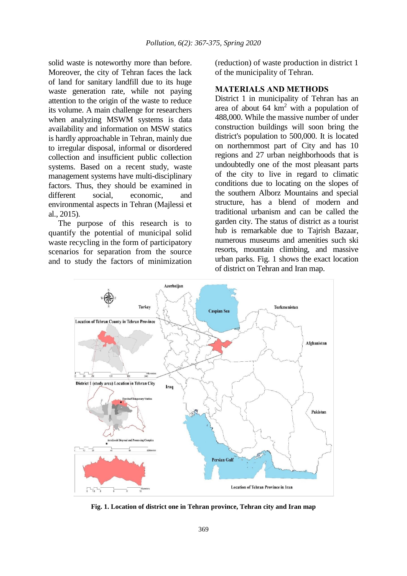solid waste is noteworthy more than before. Moreover, the city of Tehran faces the lack of land for sanitary landfill due to its huge waste generation rate, while not paying attention to the origin of the waste to reduce its volume. A main challenge for researchers when analyzing MSWM systems is data availability and information on MSW statics is hardly approachable in Tehran, mainly due to irregular disposal, informal or disordered collection and insufficient public collection systems. Based on a recent study, waste management systems have multi-disciplinary factors. Thus, they should be examined in different social, economic, and environmental aspects in Tehran (Majlessi et al., 2015).

The purpose of this research is to quantify the potential of municipal solid waste recycling in the form of participatory scenarios for separation from the source and to study the factors of minimization

(reduction) of waste production in district 1 of the municipality of Tehran.

## **MATERIALS AND METHODS**

District 1 in municipality of Tehran has an area of about  $64 \text{ km}^2$  with a population of 488,000. While the massive number of under construction buildings will soon bring the district's population to 500,000. It is located on northernmost part of City and has 10 regions and 27 urban neighborhoods that is undoubtedly one of the most pleasant parts of the city to live in regard to climatic conditions due to locating on the slopes of the southern Alborz Mountains and special structure, has a blend of modern and traditional urbanism and can be called the garden city. The status of district as a tourist hub is remarkable due to Tajrish Bazaar, numerous museums and amenities such ski resorts, mountain climbing, and massive urban parks. Fig. 1 shows the exact location of district on Tehran and Iran map.



**Fig. 1. Location of district one in Tehran province, Tehran city and Iran map**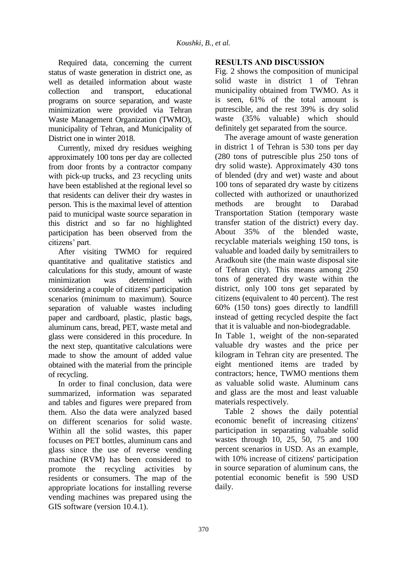Required data, concerning the current status of waste generation in district one, as well as detailed information about waste collection and transport, educational programs on source separation, and waste minimization were provided via Tehran Waste Management Organization (TWMO), municipality of Tehran, and Municipality of District one in winter 2018.

Currently, mixed dry residues weighing approximately 100 tons per day are collected from door fronts by a contractor company with pick-up trucks, and 23 recycling units have been established at the regional level so that residents can deliver their dry wastes in person. This is the maximal level of attention paid to municipal waste source separation in this district and so far no highlighted participation has been observed from the citizens' part.

After visiting TWMO for required quantitative and qualitative statistics and calculations for this study, amount of waste minimization was determined with considering a couple of citizens' participation scenarios (minimum to maximum). Source separation of valuable wastes including paper and cardboard, plastic, plastic bags, aluminum cans, bread, PET, waste metal and glass were considered in this procedure. In the next step, quantitative calculations were made to show the amount of added value obtained with the material from the principle of recycling.

In order to final conclusion, data were summarized, information was separated and tables and figures were prepared from them. Also the data were analyzed based on different scenarios for solid waste. Within all the solid wastes, this paper focuses on PET bottles, aluminum cans and glass since the use of reverse vending machine (RVM) has been considered to promote the recycling activities by residents or consumers. The map of the appropriate locations for installing reverse vending machines was prepared using the GIS software (version 10.4.1).

# **RESULTS AND DISCUSSION**

Fig. 2 shows the composition of municipal solid waste in district 1 of Tehran municipality obtained from TWMO. As it is seen, 61% of the total amount is putrescible, and the rest 39% is dry solid waste (35% valuable) which should definitely get separated from the source.

The average amount of waste generation in district 1 of Tehran is 530 tons per day (280 tons of putrescible plus 250 tons of dry solid waste). Approximately 430 tons of blended (dry and wet) waste and about 100 tons of separated dry waste by citizens collected with authorized or unauthorized methods are brought to Darabad Transportation Station (temporary waste transfer station of the district) every day. About 35% of the blended waste, recyclable materials weighing 150 tons, is valuable and loaded daily by semitrailers to Aradkouh site (the main waste disposal site of Tehran city). This means among 250 tons of generated dry waste within the district, only 100 tons get separated by citizens (equivalent to 40 percent). The rest 60% (150 tons) goes directly to landfill instead of getting recycled despite the fact that it is valuable and non-biodegradable.

In Table 1, weight of the non-separated valuable dry wastes and the price per kilogram in Tehran city are presented. The eight mentioned items are traded by contractors; hence, TWMO mentions them as valuable solid waste. Aluminum cans and glass are the most and least valuable materials respectively.

Table 2 shows the daily potential economic benefit of increasing citizens' participation in separating valuable solid wastes through 10, 25, 50, 75 and 100 percent scenarios in USD. As an example, with 10% increase of citizens' participation in source separation of aluminum cans, the potential economic benefit is 590 USD daily.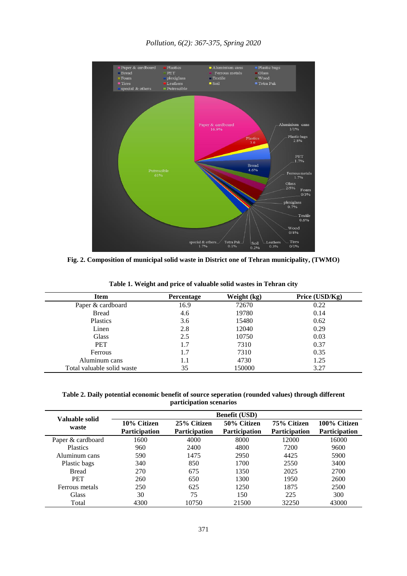

**Fig. 2. Composition of municipal solid waste in District one of Tehran municipality, (TWMO)**

| Item                       | Percentage | Weight (kg) | Price $(USD/Kg)$ |
|----------------------------|------------|-------------|------------------|
| Paper & cardboard          | 16.9       | 72670       | 0.22             |
| <b>Bread</b>               | 4.6        | 19780       | 0.14             |
| Plastics                   | 3.6        | 15480       | 0.62             |
| Linen                      | 2.8        | 12040       | 0.29             |
| <b>Glass</b>               | 2.5        | 10750       | 0.03             |
| <b>PET</b>                 | 1.7        | 7310        | 0.37             |
| <b>Ferrous</b>             | 1.7        | 7310        | 0.35             |
| Aluminum cans              | 1.1        | 4730        | 1.25             |
| Total valuable solid waste | 35         | 150000      | 3.27             |

**Table 1. Weight and price of valuable solid wastes in Tehran city**

Ē,

**Table 2. Daily potential economic benefit of source seperation (rounded values) through different participation scenarios**

| Valuable solid<br>waste | <b>Benefit (USD)</b> |                      |                      |                      |                      |  |
|-------------------------|----------------------|----------------------|----------------------|----------------------|----------------------|--|
|                         | 10% Citizen          | 25% Citizen          | 50% Citizen          | 75% Citizen          | 100% Citizen         |  |
|                         | <b>Participation</b> | <b>Participation</b> | <b>Participation</b> | <b>Participation</b> | <b>Participation</b> |  |
| Paper & cardboard       | 1600                 | 4000                 | 8000                 | 12000                | 16000                |  |
| <b>Plastics</b>         | 960                  | 2400                 | 4800                 | 7200                 | 9600                 |  |
| Aluminum cans           | 590                  | 1475                 | 2950                 | 4425                 | 5900                 |  |
| Plastic bags            | 340                  | 850                  | 1700                 | 2550                 | 3400                 |  |
| <b>Bread</b>            | 270                  | 675                  | 1350                 | 2025                 | 2700                 |  |
| <b>PET</b>              | 260                  | 650                  | 1300                 | 1950                 | 2600                 |  |
| Ferrous metals          | 250                  | 625                  | 1250                 | 1875                 | 2500                 |  |
| Glass                   | 30                   | 75                   | 150                  | 225                  | 300                  |  |
| Total                   | 4300                 | 10750                | 21500                | 32250                | 43000                |  |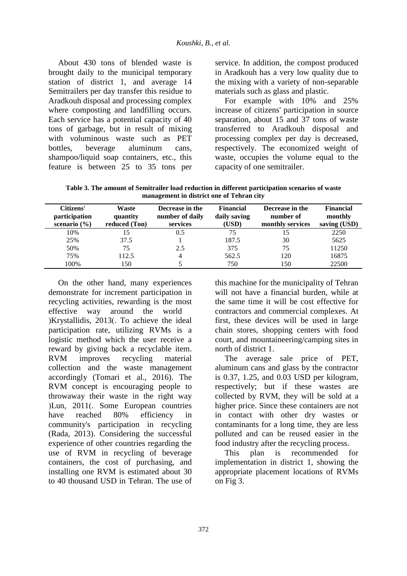About 430 tons of blended waste is brought daily to the municipal temporary station of district 1, and average 14 Semitrailers per day transfer this residue to Aradkouh disposal and processing complex where composting and landfilling occurs. Each service has a potential capacity of 40 tons of garbage, but in result of mixing with voluminous waste such as PET bottles, beverage aluminum cans, shampoo/liquid soap containers, etc., this feature is between 25 to 35 tons per

service. In addition, the compost produced in Aradkouh has a very low quality due to the mixing with a variety of non-separable materials such as glass and plastic.

For example with 10% and 25% increase of citizens' participation in source separation, about 15 and 37 tons of waste transferred to Aradkouh disposal and processing complex per day is decreased, respectively. The economized weight of waste, occupies the volume equal to the capacity of one semitrailer.

**Table 3. The amount of Semitrailer load reduction in different participation scenarios of waste management in district one of Tehran city**

| Citizens'<br>participation<br>scenario $(\% )$ | Waste<br>quantity<br>reduced (Ton) | Decrease in the<br>number of daily<br>services | Financial<br>daily saving<br>(USD) | Decrease in the<br>number of<br>monthly services | <b>Financial</b><br>monthly<br>saving (USD) |
|------------------------------------------------|------------------------------------|------------------------------------------------|------------------------------------|--------------------------------------------------|---------------------------------------------|
| 10%                                            | 15                                 | 0.5                                            | 75                                 |                                                  | 2250                                        |
| 25%                                            | 37.5                               |                                                | 187.5                              | 30                                               | 5625                                        |
| 50%                                            | 75                                 | 2.5                                            | 375                                | 75                                               | 11250                                       |
| 75%                                            | 112.5                              | 4                                              | 562.5                              | 120                                              | 16875                                       |
| 100%                                           | 150                                |                                                | 750                                | 150                                              | 22500                                       |

On the other hand, many experiences demonstrate for increment participation in recycling activities, rewarding is the most effective way around the world )Krystallidis, 2013(. To achieve the ideal participation rate, utilizing RVMs is a logistic method which the user receive a reward by giving back a recyclable item. RVM improves recycling material collection and the waste management accordingly (Tomari et al., 2016). The RVM concept is encouraging people to throwaway their waste in the right way (Lun, 2011). Some European countries have reached 80% efficiency in community's participation in recycling (Rada, 2013). Considering the successful experience of other countries regarding the use of RVM in recycling of beverage containers, the cost of purchasing, and installing one RVM is estimated about 30 to 40 thousand USD in Tehran. The use of this machine for the municipality of Tehran will not have a financial burden, while at the same time it will be cost effective for contractors and commercial complexes. At first, these devices will be used in large chain stores, shopping centers with food court, and mountaineering/camping sites in north of district 1.

The average sale price of PET, aluminum cans and glass by the contractor is 0.37, 1.25, and 0.03 USD per kilogram, respectively; but if these wastes are collected by RVM, they will be sold at a higher price. Since these containers are not in contact with other dry wastes or contaminants for a long time, they are less polluted and can be reused easier in the food industry after the recycling process.

This plan is recommended for implementation in district 1, showing the appropriate placement locations of RVMs on Fig 3.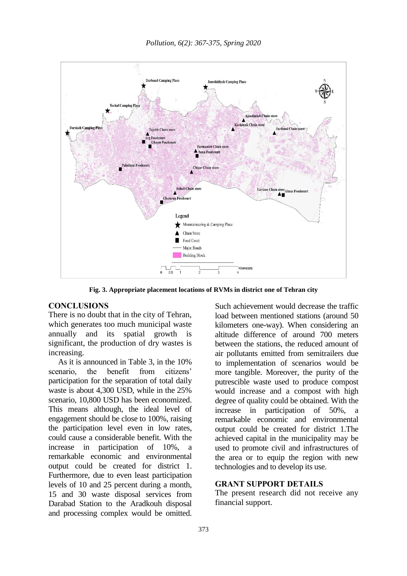

**Fig. 3. Appropriate placement locations of RVMs in district one of Tehran city**

### **CONCLUSIONS**

There is no doubt that in the city of Tehran, which generates too much municipal waste annually and its spatial growth is significant, the production of dry wastes is increasing.

As it is announced in Table 3, in the 10% scenario, the benefit from citizens' participation for the separation of total daily waste is about 4,300 USD, while in the 25% scenario, 10,800 USD has been economized. This means although, the ideal level of engagement should be close to 100%, raising the participation level even in low rates, could cause a considerable benefit. With the increase in participation of 10%, a remarkable economic and environmental output could be created for district 1. Furthermore, due to even least participation levels of 10 and 25 percent during a month, 15 and 30 waste disposal services from Darabad Station to the Aradkouh disposal and processing complex would be omitted.

Such achievement would decrease the traffic load between mentioned stations (around 50 kilometers one-way). When considering an altitude difference of around 700 meters between the stations, the reduced amount of air pollutants emitted from semitrailers due to implementation of scenarios would be more tangible. Moreover, the purity of the putrescible waste used to produce compost would increase and a compost with high degree of quality could be obtained. With the increase in participation of  $50\%$ , remarkable economic and environmental output could be created for district 1.The achieved capital in the municipality may be used to promote civil and infrastructures of the area or to equip the region with new technologies and to develop its use.

## **GRANT SUPPORT DETAILS**

The present research did not receive any financial support.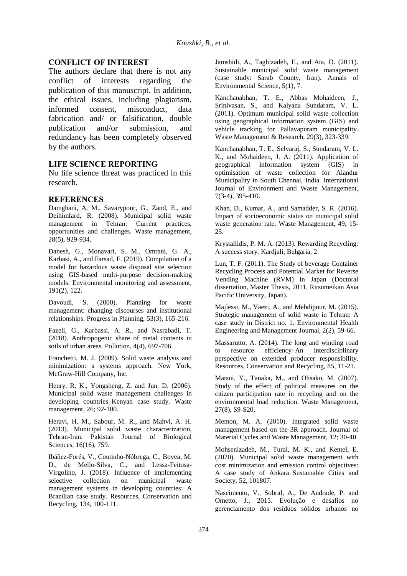### **CONFLICT OF INTEREST**

The authors declare that there is not any conflict of interests regarding the publication of this manuscript. In addition, the ethical issues, including plagiarism, informed consent, misconduct, data fabrication and/ or falsification, double publication and/or submission, and redundancy has been completely observed by the authors.

#### **LIFE SCIENCE REPORTING**

No life science threat was practiced in this research.

#### **REFERENCES**

Damghani, A. M., Savarypour, G., Zand, E., and Deihimfard, R. (2008). Municipal solid waste management in Tehran: Current practices, opportunities and challenges. Waste management,  $28(5)$ , 929-934.

Danesh, G., Monavari, S. M., Omrani, G. A., Karbasi, A., and Farsad, F. (2019). Compilation of a model for hazardous waste disposal site selection using GIS-based multi-purpose decision-making models. Environmental monitoring and assessment, 191(2), 122.

Davoudi, S. (2000). Planning for waste management: changing discourses and institutional relationships. Progress in Planning, 53(3), 165-216.

Fazeli, G., Karbassi, A. R., and Nasrabadi, T. (2018). Anthropogenic share of metal contents in soils of urban areas. Pollution, 4(4), 697-706.

Franchetti, M. J. (2009). Solid waste analysis and minimization: a systems approach. New York, McGraw-Hill Company, Inc.

Henry, R. K., Yongsheng, Z. and Jun, D. (2006). Municipal solid waste management challenges in developing countries–Kenyan case study. Waste management, 26; 92-100.

Heravi, H. M., Sabour, M. R., and Mahvi, A. H. (2013). Municipal solid waste characterization, Tehran-Iran. Pakistan Journal of Biological Sciences, 16(16), 759.

Ibáñez-Forés, V., Coutinho-Nóbrega, C., Bovea, M. D., de Mello-Silva, C., and Lessa-Feitosa-Virgolino, J. (2018). Influence of implementing selective collection on municipal waste management systems in developing countries: A Brazilian case study. Resources, Conservation and Recycling, 134, 100-111.

Jamshidi, A., Taghizadeh, F., and Ata, D. (2011). Sustainable municipal solid waste management (case study: Sarab County, Iran). Annals of Environmental Science, 5(1), 7.

Kanchanabhan, T. E., Abbas Mohaideen, J., Srinivasan, S., and Kalyana Sundaram, V. L. (2011). Optimum municipal solid waste collection using geographical information system (GIS) and vehicle tracking for Pallavapuram municipality. Waste Management & Research, 29(3), 323-339.

Kanchanabhan, T. E., Selvaraj, S., Sundaram, V. L. K., and Mohaideen, J. A. (2011). Application of geographical information system (GIS) in optimisation of waste collection for Alandur Municipality in South Chennai, India. International Journal of Environment and Waste Management, 7(3-4), 395-410.

Khan, D., Kumar, A., and Samadder, S. R. (2016). Impact of socioeconomic status on municipal solid waste generation rate. Waste Management, 49, 15- 25.

Krystallidis, P. M. A. (2013). Rewarding Recycling: A success story. Kardjali, Bulgaria, 2.

Lun, T. F. (2011). The Study of beverage Container Recycling Process and Potential Market for Reverse Vending Machine (RVM) in Japan (Doctoral dissertation, Master Thesis, 2011, Ritsumeikan Asia Pacific University, Japan).

Majlessi, M., Vaezi, A., and Mehdipour, M. (2015). Strategic management of solid waste in Tehran: A case study in District no. 1. Environmental Health Engineering and Management Journal, 2(2), 59-66.

Massarutto, A. (2014). The long and winding road to resource efficiency–An interdisciplinary perspective on extended producer responsibility. Resources, Conservation and Recycling, 85, 11-21.

Matsui, Y., Tanaka, M., and Ohsako, M. (2007). Study of the effect of political measures on the citizen participation rate in recycling and on the environmental load reduction. Waste Management, 27(8), S9-S20.

Memon, M. A. (2010). Integrated solid waste management based on the 3R approach. Journal of Material Cycles and Waste Management, 12; 30-40

Mohsenizadeh, M., Tural, M. K., and Kentel, E. (2020). Municipal solid waste management with cost minimization and emission control objectives: A case study of Ankara. Sustainable Cities and Society, 52, 101807.

Nascimento, V., Sobral, A., De Andrade, P. and Ometto, J., 2015. Evolução e desafios no gerenciamento dos resíduos sólidos urbanos no